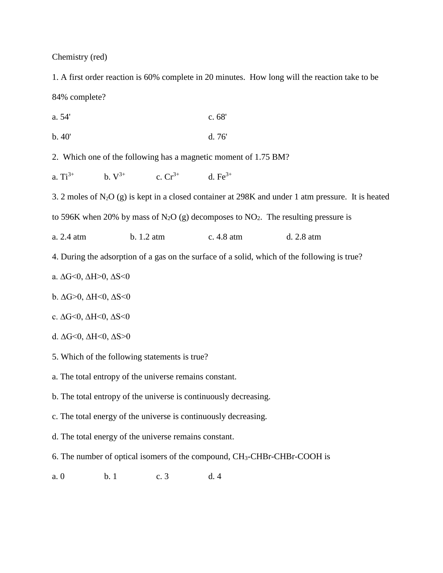Chemistry (red)

1. A first order reaction is 60% complete in 20 minutes. How long will the reaction take to be 84% complete?

| a. 54' | c.68' |
|--------|-------|
| b.40'  | d.76' |

2. Which one of the following has a magnetic moment of 1.75 BM?

a.  $Ti^{3+}$  b.  $V^{3+}$  c.  $Cr^{3+}$  d. Fe<sup>3+</sup>

3. 2 moles of  $N_2O(g)$  is kept in a closed container at 298K and under 1 atm pressure. It is heated

to 596K when 20% by mass of N<sub>2</sub>O (g) decomposes to NO<sub>2</sub>. The resulting pressure is

a. 2.4 atm b. 1.2 atm c. 4.8 atm d. 2.8 atm

4. During the adsorption of a gas on the surface of a solid, which of the following is true?

a. ∆G<0, ∆H>0, ∆S<0

b.  $\Delta G > 0$ ,  $\Delta H < 0$ ,  $\Delta S < 0$ 

- c. ΔG<0, ΔH<0, ΔS<0
- d.  $\Delta G \le 0$ ,  $\Delta H \le 0$ ,  $\Delta S > 0$
- 5. Which of the following statements is true?
- a. The total entropy of the universe remains constant.
- b. The total entropy of the universe is continuously decreasing.
- c. The total energy of the universe is continuously decreasing.
- d. The total energy of the universe remains constant.
- 6. The number of optical isomers of the compound, CH3-CHBr-CHBr-COOH is
- a. 0 b. 1 c. 3 d. 4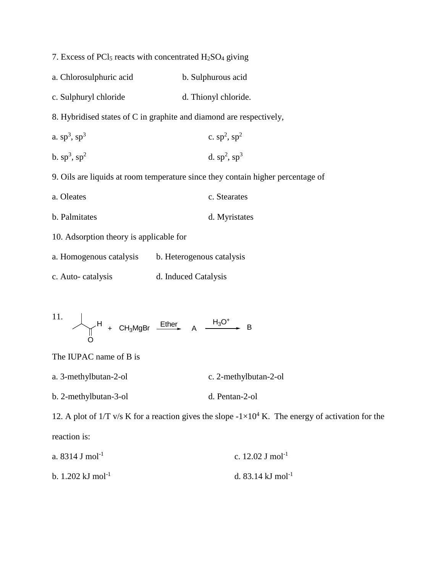| 7. Excess of PCl <sub>5</sub> reacts with concentrated $H_2SO_4$ giving         |                      |  |
|---------------------------------------------------------------------------------|----------------------|--|
| a. Chlorosulphuric acid                                                         | b. Sulphurous acid   |  |
| c. Sulphuryl chloride                                                           | d. Thionyl chloride. |  |
| 8. Hybridised states of C in graphite and diamond are respectively,             |                      |  |
| a. $sp^3$ , $sp^3$                                                              | c. $sp^2$ , $sp^2$   |  |
| b. $sp^3$ , $sp^2$                                                              | d. $sp^2$ , $sp^3$   |  |
| 9. Oils are liquids at room temperature since they contain higher percentage of |                      |  |
| a. Oleates                                                                      | c. Stearates         |  |
| b. Palmitates                                                                   | d. Myristates        |  |
| 10. Adsorption theory is applicable for                                         |                      |  |
| a. Homogenous catalysis b. Heterogenous catalysis                               |                      |  |
|                                                                                 |                      |  |

c. Auto- catalysis d. Induced Catalysis

11. 
$$
\bigcup_{O} H
$$
 + CH<sub>3</sub>MgBr  $\xrightarrow{Ether}$  A  $\xrightarrow{H_3O^+}$  B

The IUPAC name of B is

- a. 3-methylbutan-2-ol c. 2-methylbutan-2-ol
- b. 2-methylbutan-3-ol d. Pentan-2-ol

12. A plot of  $1/T$  v/s K for a reaction gives the slope  $-1\times10^4$  K. The energy of activation for the reaction is:

| a. $8314$ J mol <sup>-1</sup>          | c. 12.02 J mol <sup>-1</sup>  |
|----------------------------------------|-------------------------------|
| b. $1.202 \text{ kJ} \text{ mol}^{-1}$ | d. 83.14 kJ mol <sup>-1</sup> |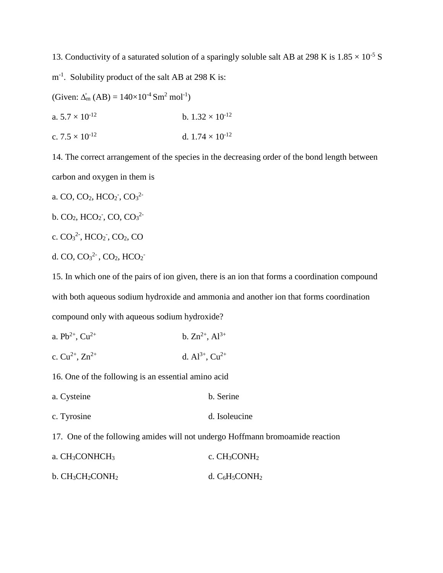13. Conductivity of a saturated solution of a sparingly soluble salt AB at 298 K is  $1.85 \times 10^{-5}$  S

m<sup>-1</sup>. Solubility product of the salt AB at 298 K is:

(Given:  $\Delta_{m}^{o}$  (AB) = 140×10<sup>-4</sup> Sm<sup>2</sup> mol<sup>-1</sup>)

a.  $5.7 \times 10^{-12}$  b.  $1.32 \times 10^{-12}$ 

c.  $7.5 \times 10^{-12}$  d.  $1.74 \times 10^{-12}$ 

14. The correct arrangement of the species in the decreasing order of the bond length between carbon and oxygen in them is

a. CO, CO<sub>2</sub>, HCO<sub>2</sub><sup>-</sup>, CO<sub>3</sub><sup>2</sup><sup>-</sup>

b.  $CO_2$ ,  $HCO_2$ <sup>-</sup>,  $CO$ ,  $CO_3$ <sup>2-</sup>

c.  $CO_3^2$ <sup>2</sup>, HCO<sub>2</sub><sup>-</sup>, CO<sub>2</sub>, CO

d. CO,  $CO_3^2$ <sup>2-</sup>, CO<sub>2</sub>, HCO<sub>2</sub><sup>-</sup>

15. In which one of the pairs of ion given, there is an ion that forms a coordination compound with both aqueous sodium hydroxide and ammonia and another ion that forms coordination compound only with aqueous sodium hydroxide?

- a.  $Pb^{2+}$ ,  $Cu^{2+}$  b.  $Zn^{2+}$ ,  $Al^{3+}$
- c.  $Cu^{2+}$ ,  $Zn^{2+}$  d.  $Al^{3+}$ ,  $Cu^{2+}$

16. One of the following is an essential amino acid

- a. Cysteine b. Serine
- c. Tyrosine d. Isoleucine

17. One of the following amides will not undergo Hoffmann bromoamide reaction

| a. $CH3CONHCH3$     | c. $CH3CONH2$     |
|---------------------|-------------------|
| b. $CH_3CH_2CONH_2$ | d. $C_6H_5CONH_2$ |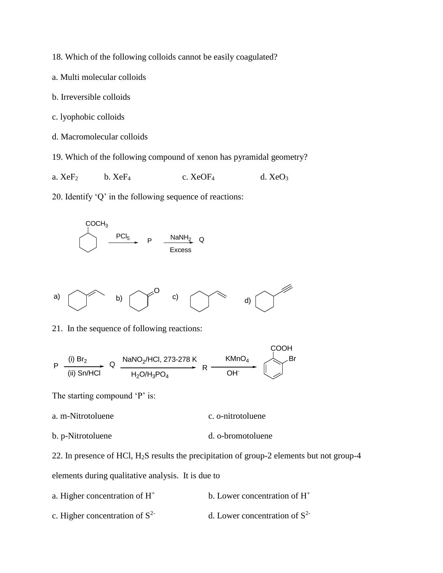18. Which of the following colloids cannot be easily coagulated?

- a. Multi molecular colloids
- b. Irreversible colloids
- c. lyophobic colloids
- d. Macromolecular colloids

19. Which of the following compound of xenon has pyramidal geometry?

a.  $XeF_2$  b.  $XeF_4$  c.  $XeOF_4$  d.  $XeO_3$ 

20. Identify 'Q' in the following sequence of reactions:





21. In the sequence of following reactions:

$$
P \xrightarrow{\text{(i) } Br_2} Q \xrightarrow{\text{NaNO}_2/\text{HCl, } 273-278 \text{ K}} R \xrightarrow{\text{KMDO}_4} R \xrightarrow{\text{COOH}} Br
$$

The starting compound 'P' is:

- a. m-Nitrotoluene c. o-nitrotoluene
- b. p-Nitrotoluene d. o-bromotoluene

22. In presence of HCl, H2S results the precipitation of group-2 elements but not group-4 elements during qualitative analysis. It is due to

- a. Higher concentration of H<sup>+</sup> b. Lower concentration of H<sup>+</sup>
- c. Higher concentration of  $S<sup>2</sup>$ d. Lower concentration of  $S<sup>2</sup>$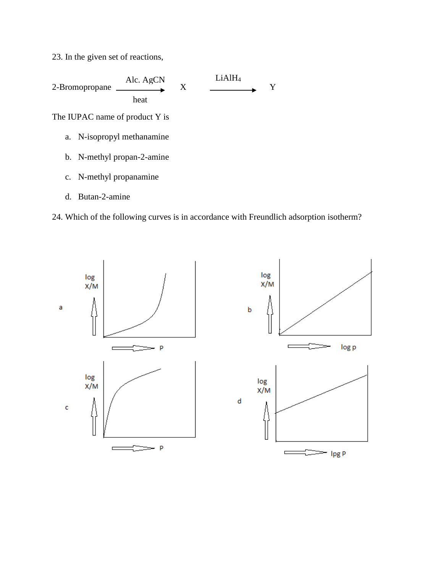23. In the given set of reactions,



d. Butan-2-amine

24. Which of the following curves is in accordance with Freundlich adsorption isotherm?

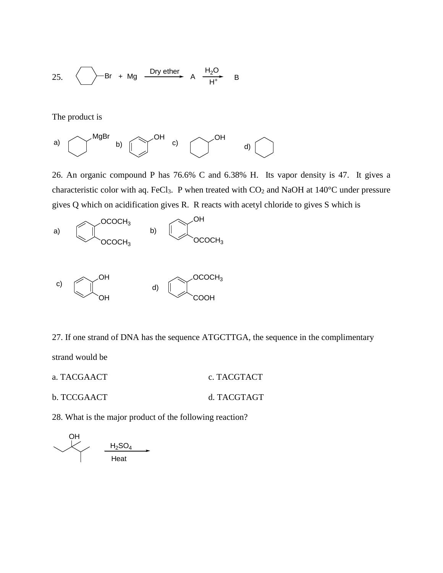25. 
$$
\bigcirc
$$
 Br + Mg  $\xrightarrow{Dry \text{ ether}}$  A  $\xrightarrow{H_2O}$  B

The product is



26. An organic compound P has 76.6% C and 6.38% H. Its vapor density is 47. It gives a characteristic color with aq. FeCl<sub>3</sub>. P when treated with  $CO<sub>2</sub>$  and NaOH at 140°C under pressure gives Q which on acidification gives R. R reacts with acetyl chloride to gives S which is



27. If one strand of DNA has the sequence ATGCTTGA, the sequence in the complimentary

strand would be

a. TACGAACT c. TACGTACT b. TCCGAACT d. TACGTAGT

28. What is the major product of the following reaction?

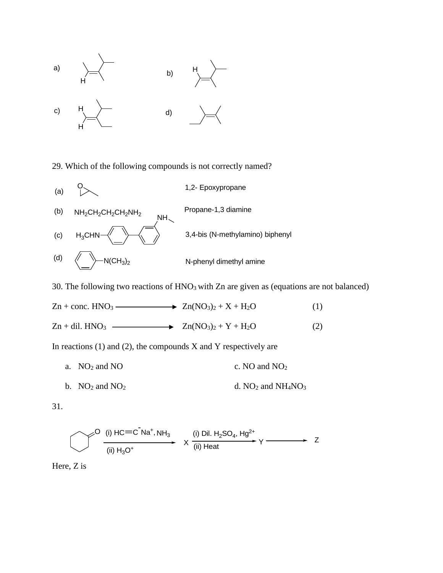

29. Which of the following compounds is not correctly named?



30. The following two reactions of  $HNO<sub>3</sub>$  with Zn are given as (equations are not balanced)



In reactions  $(1)$  and  $(2)$ , the compounds X and Y respectively are

- a.  $NO_2$  and  $NO$  c. NO and  $NO_2$
- b.  $NO_2$  and  $NO_2$  d.  $NO_2$  and  $NH_4NO_3$

31.

$$
\bigcirc \bigcirc \frac{(i) HC \equiv C \cap Na^+, NH_3}{(ii) H_3O^+} \times \frac{(i) Dil. H_2SO_4, Hg^{2+}}{(ii) Heat} \gamma \longrightarrow Z
$$

Here, Z is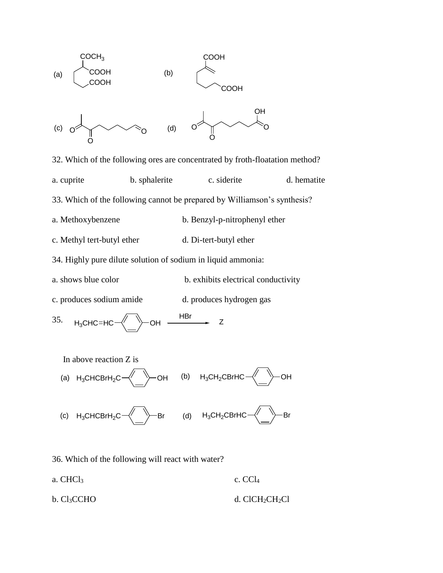

32. Which of the following ores are concentrated by froth-floatation method? a. cuprite b. sphalerite c. siderite d. hematite 33. Which of the following cannot be prepared by Williamson's synthesis? a. Methoxybenzene b. Benzyl-p-nitrophenyl ether c. Methyl tert-butyl ether d. Di-tert-butyl ether

34. Highly pure dilute solution of sodium in liquid ammonia:

- a. shows blue color b. exhibits electrical conductivity
- c. produces sodium amide d. produces hydrogen gas

35. 
$$
H_3CHC=HC \longrightarrow \longrightarrow CH
$$

In above reaction Z is

(a) 
$$
H_3CHCBrH_2C \xrightarrow{\text{(b)}} OH
$$
 (b)  $H_3CH_2CBrHC \xrightarrow{\text{(c)}} OH$ 

- $-H_3CH_2CHCHCHC$ (c)  $H_3$ CHCBr $H_2$ C
- 36. Which of the following will react with water?
- a.  $CHCl<sub>3</sub>$  c.  $CCl<sub>4</sub>$
- b. Cl<sub>3</sub>CCHO d. ClCH<sub>2</sub>CH<sub>2</sub>Cl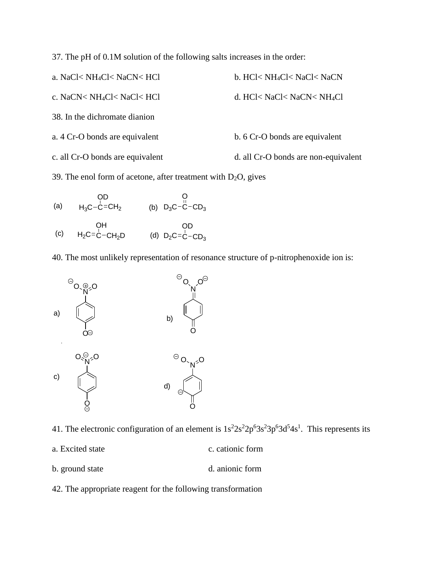37. The pH of 0.1M solution of the following salts increases in the order:

| a. NaCl< NH <sub>4</sub> Cl< NaCN< HCl | b. HCl< NH <sub>4</sub> Cl< NaCl< NaCN |
|----------------------------------------|----------------------------------------|
| c. NaCN< NH <sub>4</sub> Cl< NaCl< HCl | d. HCl< NaCl< NaCN< NH <sub>4</sub> Cl |
| 38. In the dichromate dianion          |                                        |
| a. 4 Cr-O bonds are equivalent         | b. 6 Cr-O bonds are equivalent         |
| c. all Cr-O bonds are equivalent       | d. all Cr-O bonds are non-equivalent   |

39. The enol form of acetone, after treatment with  $D_2O$ , gives

(a) 
$$
\begin{array}{cc}\n & \text{OD} & \text{O} \\
H_3 C - C = CH_2 & \text{(b)} \text{ } D_3 C - C - CD_3\n \end{array}
$$

(c) 
$$
\begin{array}{cc}\n & \text{OH} & \text{OD} \\
H_2 C = C - CH_2 D & \text{(d)} \ D_2 C = C - CD_3\n \end{array}
$$

40. The most unlikely representation of resonance structure of p-nitrophenoxide ion is:



41. The electronic configuration of an element is  $1s<sup>2</sup>2s<sup>2</sup>2p<sup>6</sup>3s<sup>2</sup>3p<sup>6</sup>3d<sup>5</sup>4s<sup>1</sup>$ . This represents its

- a. Excited state c. cationic form
- b. ground state d. anionic form
- 42. The appropriate reagent for the following transformation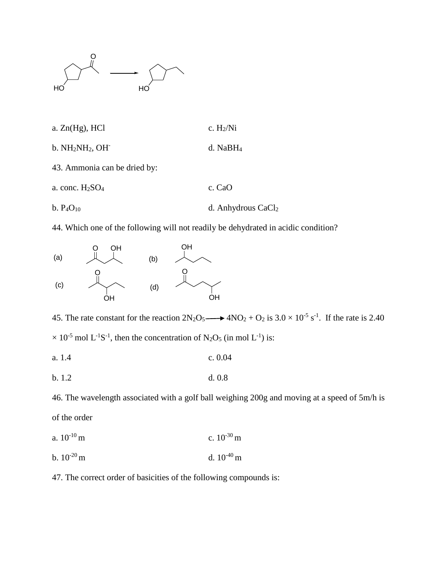

- a.  $Zn(Hg)$ , HCl c. H<sub>2</sub>/Ni
- b. NH2NH2, OHd. NaBH<sup>4</sup>
- 43. Ammonia can be dried by:
- a. conc.  $H_2SO_4$  c. CaO
- b.  $P_4O_{10}$  d. Anhydrous CaCl<sub>2</sub>

44. Which one of the following will not readily be dehydrated in acidic condition?



45. The rate constant for the reaction  $2N_2O_5 \longrightarrow 4NO_2 + O_2$  is  $3.0 \times 10^{-5}$  s<sup>-1</sup>. If the rate is 2.40  $\times$  10<sup>-5</sup> mol L<sup>-1</sup>S<sup>-1</sup>, then the concentration of N<sub>2</sub>O<sub>5</sub> (in mol L<sup>-1</sup>) is:

a. 1.4 c. 0.04

b. 1.2 d. 0.8

46. The wavelength associated with a golf ball weighing 200g and moving at a speed of 5m/h is of the order

a.  $10^{-10}$  m c.  $10^{-30}$  m b.  $10^{-20}$  m d.  $10^{-40}$  m

47. The correct order of basicities of the following compounds is: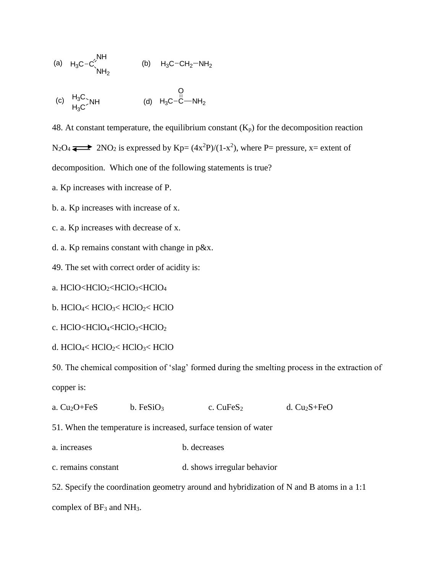(a) 
$$
H_3C-C\begin{matrix}NH\\NH_2\end{matrix}
$$
 (b)  $H_3C-CH_2-NH_2$ 

(c) 
$$
H_3C > NH
$$
  
\n $H_3C > NH$   
\n(d)  $H_3C-C-MH_2$ 

48. At constant temperature, the equilibrium constant  $(K_p)$  for the decomposition reaction  $N_2O_4 \rightleftarrows$  2NO<sub>2</sub> is expressed by Kp=  $(4x^2P)/(1-x^2)$ , where P= pressure, x= extent of

decomposition. Which one of the following statements is true?

a. Kp increases with increase of P.

- b. a. Kp increases with increase of x.
- c. a. Kp increases with decrease of x.

d. a. Kp remains constant with change in p&x.

49. The set with correct order of acidity is:

a. HClO<HClO2<HClO3<HClO<sup>4</sup>

b. HClO4< HClO3< HClO2< HClO

c. HClO<HClO4<HClO3<HClO<sup>2</sup>

d.  $HCIO<sub>4</sub>< HClO<sub>2</sub>< HClO<sub>3</sub>< HClO<sub>3</sub>$ 

50. The chemical composition of 'slag' formed during the smelting process in the extraction of copper is:

| a. $Cu2O + FeS$                                                                          | b. FeSiO <sub>3</sub> | c. $CuFeS2$                 | d. $Cu2S + FeO$ |  |
|------------------------------------------------------------------------------------------|-----------------------|-----------------------------|-----------------|--|
| 51. When the temperature is increased, surface tension of water                          |                       |                             |                 |  |
| a. increases                                                                             |                       | b. decreases                |                 |  |
| c. remains constant                                                                      |                       | d. shows irregular behavior |                 |  |
| 52. Specify the coordination geometry around and hybridization of N and B atoms in a 1:1 |                       |                             |                 |  |
|                                                                                          |                       |                             |                 |  |

complex of BF<sub>3</sub> and NH<sub>3</sub>.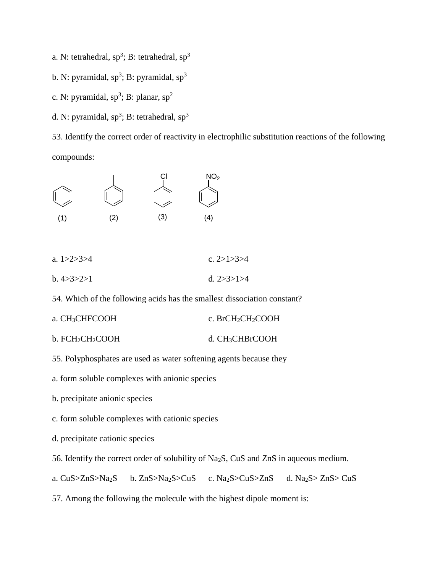- a. N: tetrahedral,  $sp^3$ ; B: tetrahedral,  $sp^3$
- b. N: pyramidal, sp<sup>3</sup>; B: pyramidal, sp<sup>3</sup>
- c. N: pyramidal,  $sp^3$ ; B: planar,  $sp^2$
- d. N: pyramidal,  $sp^3$ ; B: tetrahedral,  $sp^3$

53. Identify the correct order of reactivity in electrophilic substitution reactions of the following compounds:



| a. $1 > 2 > 3 > 4$ | c. $2>1>3>4$       |
|--------------------|--------------------|
| b.4 > 3 > 2 > 1    | d. $2 > 3 > 1 > 4$ |

54. Which of the following acids has the smallest dissociation constant?

- a. CH<sub>3</sub>CHFCOOH c. BrCH<sub>2</sub>CH<sub>2</sub>COOH
- b. FCH<sub>2</sub>CH<sub>2</sub>COOH d. CH<sub>3</sub>CHBrCOOH
- 55. Polyphosphates are used as water softening agents because they
- a. form soluble complexes with anionic species
- b. precipitate anionic species
- c. form soluble complexes with cationic species
- d. precipitate cationic species

56. Identify the correct order of solubility of Na2S, CuS and ZnS in aqueous medium.

a. CuS>ZnS>Na2S b. ZnS>Na2S>CuS c. Na2S>CuS>ZnS d. Na2S> ZnS> CuS

57. Among the following the molecule with the highest dipole moment is: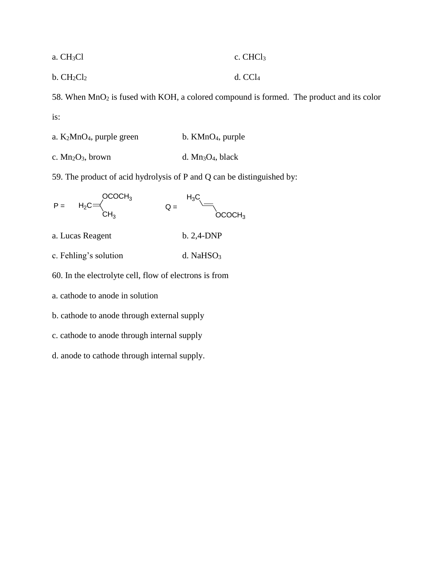| a. CH <sub>3</sub> Cl | $c.$ CHCl <sub>3</sub> |
|-----------------------|------------------------|
|                       |                        |

b.  $CH_2Cl_2$  d.  $CCl_4$ 

58. When  $MnO<sub>2</sub>$  is fused with KOH, a colored compound is formed. The product and its color is:

| a. $K_2MnO_4$ , purple green | b. $KMnO4$ , purple  |  |  |
|------------------------------|----------------------|--|--|
| c. $Mn_2O_3$ , brown         | d. $Mn_3O_4$ , black |  |  |

59. The product of acid hydrolysis of P and Q can be distinguished by:



a. cathode to anode in solution

b. cathode to anode through external supply

c. cathode to anode through internal supply

d. anode to cathode through internal supply.